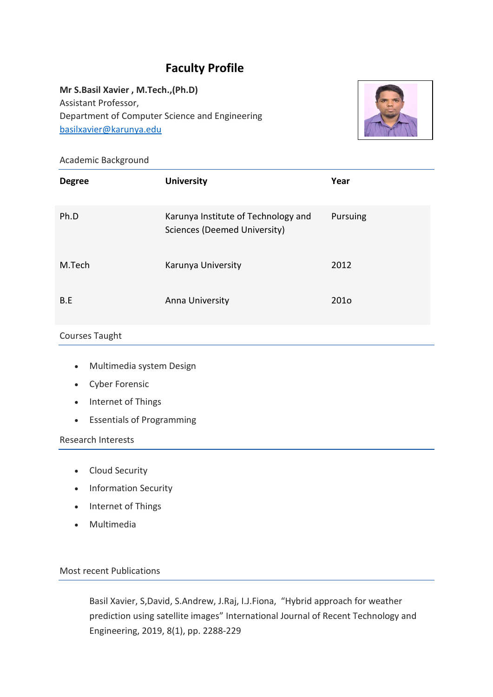# **Faculty Profile**

**Mr S.Basil Xavier , M.Tech.,(Ph.D)** Assistant Professor, Department of Computer Science and Engineering [basilxavier@karunya.edu](mailto:basilxavier@karunya.edu)



## Academic Background

| <b>Degree</b> | <b>University</b>                                                   | Year             |
|---------------|---------------------------------------------------------------------|------------------|
| Ph.D          | Karunya Institute of Technology and<br>Sciences (Deemed University) | Pursuing         |
| M.Tech        | Karunya University                                                  | 2012             |
| B.E           | Anna University                                                     | 201 <sub>o</sub> |

### Courses Taught

- Multimedia system Design
- Cyber Forensic
- Internet of Things
- Essentials of Programming

#### Research Interests

- Cloud Security
- Information Security
- Internet of Things
- Multimedia

#### Most recent Publications

Basil Xavier, S,David, S.Andrew, J.Raj, I.J.Fiona, "Hybrid approach for weather prediction using satellite images" International Journal of Recent Technology and Engineering, 2019, 8(1), pp. 2288-229